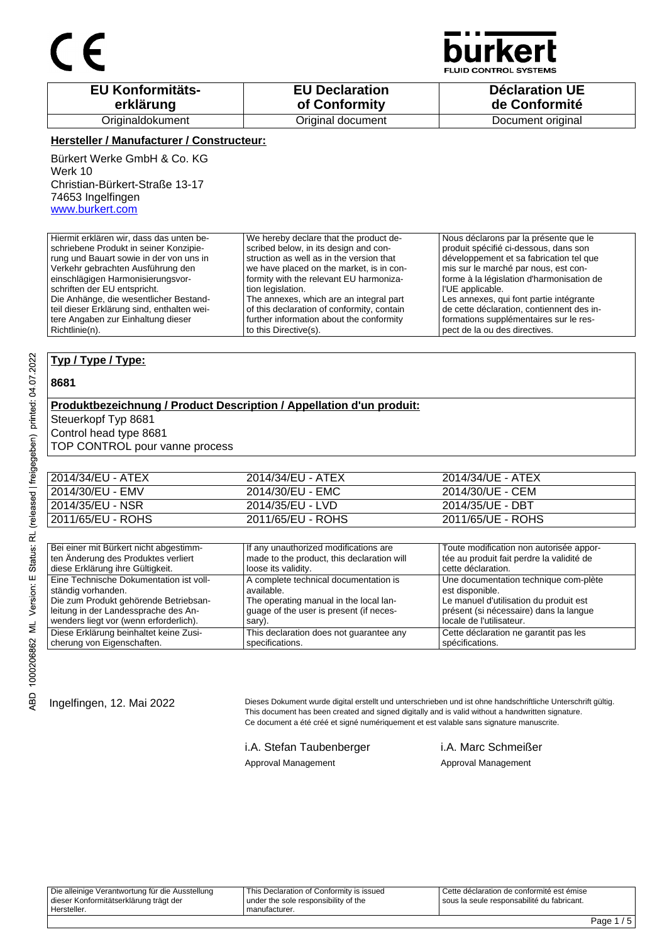

**JID CONTROL SYSTEMS** 

| <b>EU Konformitäts-</b> | <b>EU Declaration</b> | <b>Déclaration UE</b> |
|-------------------------|-----------------------|-----------------------|
| erklärung               | of Conformity         | de Conformité         |
| Originaldokument        | Original document     | Document original     |

#### **Hersteller / Manufacturer / Constructeur:**

Bürkert Werke GmbH & Co. KG Werk 10 Christian-Bürkert-Straße 13-17 74653 Ingelfingen www.burkert.com

Hiermit erklären wir, dass das unten beschriebene Produkt in seiner Konzipierung und Bauart sowie in der von uns in Verkehr gebrachten Ausführung den einschlägigen Harmonisierungsvorschriften der EU entspricht. Die Anhänge, die wesentlicher Bestandteil dieser Erklärung sind, enthalten weitere Angaben zur Einhaltung dieser Richtlinie(n). We hereby declare that the product described below, in its design and construction as well as in the version that we have placed on the market, is in conformity with the relevant EU harmonization legislation. The annexes, which are an integral part of this declaration of conformity, contain further information about the conformity to this Directive(s). Nous déclarons par la présente que le produit spécifié ci-dessous, dans son développement et sa fabrication tel que mis sur le marché par nous, est conforme à la législation d'harmonisation de l'UE applicable. Les annexes, qui font partie intégrante de cette déclaration, contiennent des informations supplémentaires sur le respect de la ou des directives.

#### **Typ / Type / Type:**

#### **8681**

### **Produktbezeichnung / Product Description / Appellation d'un produit:**

Steuerkopf Typ 8681

Control head type 8681 TOP CONTROL pour vanne process

| 2014/34/EU - ATEX | 2014/34/EU - ATEX | 2014/34/UE - ATEX |
|-------------------|-------------------|-------------------|
| 2014/30/EU - EMV  | 2014/30/EU - EMC  | 2014/30/UE - CEM  |
| 2014/35/EU - NSR  | 2014/35/EU - LVD  | 2014/35/UE - DBT  |
| 2011/65/EU - ROHS | 2011/65/EU - ROHS | 2011/65/UE - ROHS |
|                   |                   |                   |

| Bei einer mit Bürkert nicht abgestimm-  | If any unauthorized modifications are      | Toute modification non autorisée appor-   |
|-----------------------------------------|--------------------------------------------|-------------------------------------------|
| ten Änderung des Produktes verliert     | made to the product, this declaration will | tée au produit fait perdre la validité de |
| diese Erklärung ihre Gültigkeit.        | loose its validity.                        | cette déclaration.                        |
| Eine Technische Dokumentation ist voll- | A complete technical documentation is      | Une documentation technique com-plète     |
| ständig vorhanden.                      | available.                                 | est disponible.                           |
| Die zum Produkt gehörende Betriebsan-   | The operating manual in the local lan-     | Le manuel d'utilisation du produit est    |
| leitung in der Landessprache des An-    | quage of the user is present (if neces-    | présent (si nécessaire) dans la langue    |
| wenders liegt vor (wenn erforderlich).  | sary).                                     | locale de l'utilisateur.                  |
| Diese Erklärung beinhaltet keine Zusi-  | This declaration does not quarantee any    | Cette déclaration ne garantit pas les     |
| cherung von Eigenschaften.              | specifications.                            | spécifications.                           |

Ingelfingen, 12. Mai 2022 Dieses Dokument wurde digital erstellt und unterschrieben und ist ohne handschriftliche Unterschrift gültig. This document has been created and signed digitally and is valid without a handwritten signature. Ce document a été créé et signé numériquement et est valable sans signature manuscrite.

> i.A. Stefan Taubenberger i.A. Marc Schmeißer Approval Management Approval Management

Die alleinige Verantwortung für die Ausstellung dieser Konformitätserklärung trägt der Hersteller. This Declaration of Conformity is issued under the sole responsibility of the manufacturer. Cette déclaration de conformité est émise sous la seule responsabilité du fabricant.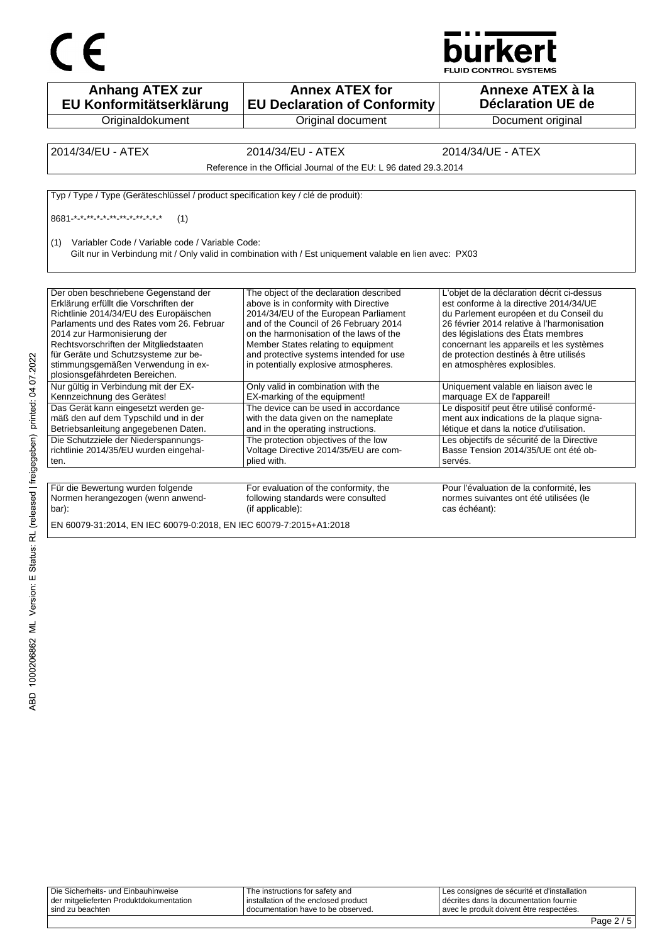



**Anhang ATEX zur EU Konformitätserklärung Originaldokument Annex ATEX for EU Declaration of Conformity** Original document **Annexe ATEX à la Déclaration UE de**  Document original 2014/34/EU - ATEX 2014/34/EU - ATEX 2014/34/UE - ATEX Reference in the Official Journal of the EU: L 96 dated 29.3.2014 Typ / Type / Type (Geräteschlüssel / product specification key / clé de produit):  $8681 -$ \*-\*-\*-\*-\*-\*-\*-\*-\*-\*-\*-\*-\* (1) (1) Variabler Code / Variable code / Variable Code: Gilt nur in Verbindung mit / Only valid in combination with / Est uniquement valable en lien avec: PX03 Der oben beschriebene Gegenstand der Erklärung erfüllt die Vorschriften der Richtlinie 2014/34/EU des Europäischen Parlaments und des Rates vom 26. Februar 2014 zur Harmonisierung der Rechtsvorschriften der Mitgliedstaaten für Geräte und Schutzsysteme zur bestimmungsgemäßen Verwendung in explosionsgefährdeten Bereichen. The object of the declaration described above is in conformity with Directive 2014/34/EU of the European Parliament and of the Council of 26 February 2014 on the harmonisation of the laws of the Member States relating to equipment and protective systems intended for use in potentially explosive atmospheres. L'objet de la déclaration décrit ci-dessus est conforme à la directive 2014/34/UE du Parlement européen et du Conseil du 26 février 2014 relative à l'harmonisation des législations des États membres concernant les appareils et les systèmes de protection destinés à être utilisés en atmosphères explosibles. Nur gültig in Verbindung mit der EX-Kennzeichnung des Gerätes! Only valid in combination with the EX-marking of the equipment! Uniquement valable en liaison avec le marquage EX de l'appareil! Das Gerät kann eingesetzt werden gemäß den auf dem Typschild und in der Betriebsanleitung angegebenen Daten. The device can be used in accordance with the data given on the nameplate and in the operating instructions. Le dispositif peut être utilisé conformément aux indications de la plaque signalétique et dans la notice d'utilisation. Die Schutzziele der Niederspannungsrichtlinie 2014/35/EU wurden eingehalten. The protection objectives of the low Voltage Directive 2014/35/EU are complied with. Les objectifs de sécurité de la Directive Basse Tension 2014/35/UE ont été observés. Für die Bewertung wurden folgende Normen herangezogen (wenn anwendbar): For evaluation of the conformity, the following standards were consulted (if applicable): Pour l'évaluation de la conformité, les normes suivantes ont été utilisées (le cas échéant): EN 60079-31:2014, EN IEC 60079-0:2018, EN IEC 60079-7:2015+A1:2018

| Die Sicherheits- und Einbauhinweise<br>der mitgelieferten Produktdokumentation | The instructions for safety and<br>installation of the enclosed product | Les consignes de sécurité et d'installation<br>décrites dans la documentation fournie |  |
|--------------------------------------------------------------------------------|-------------------------------------------------------------------------|---------------------------------------------------------------------------------------|--|
| sind zu beachten                                                               | I documentation have to be observed.                                    | avec le produit doivent être respectées.                                              |  |
|                                                                                |                                                                         |                                                                                       |  |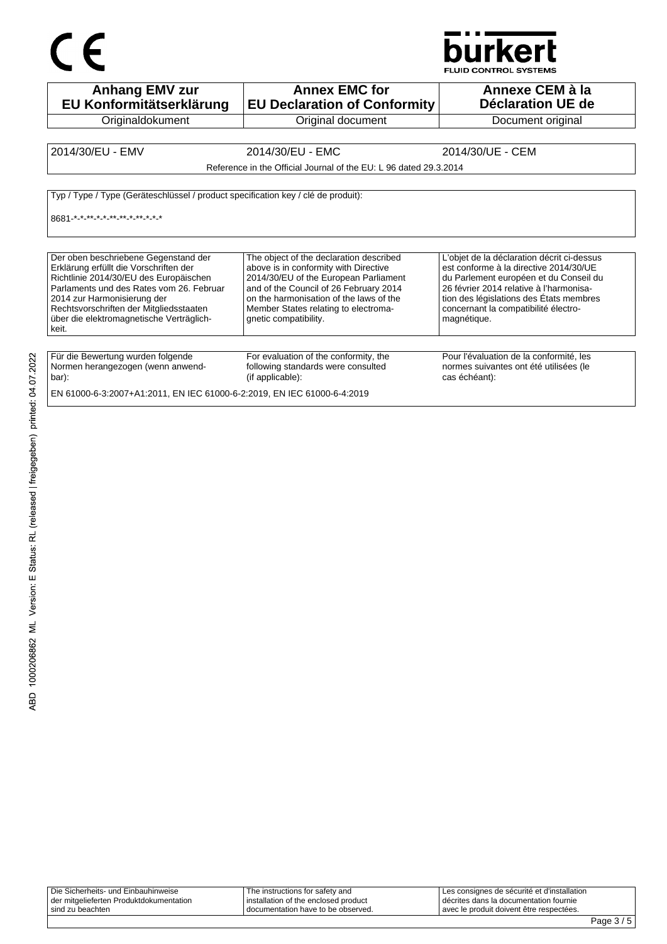# ∈



**Anhang EMV zur EU Konformitätserklärung Originaldokument Annex EMC for EU Declaration of Conformity** Original document **Annexe CEM à la Déclaration UE de**  Document original 2014/30/EU - EMV 2014/30/EU - EMC 2014/30/UE - CEM Reference in the Official Journal of the EU: L 96 dated 29.3.2014 Typ / Type / Type (Geräteschlüssel / product specification key / clé de produit): 8681-\*-\*-\*-\*-\*-\*-\*-\*-\*-\*-\*-\* Der oben beschriebene Gegenstand der Erklärung erfüllt die Vorschriften der Richtlinie 2014/30/EU des Europäischen Parlaments und des Rates vom 26. Februar 2014 zur Harmonisierung der Rechtsvorschriften der Mitgliedsstaaten über die elektromagnetische Verträglichkeit. The object of the declaration described above is in conformity with Directive 2014/30/EU of the European Parliament and of the Council of 26 February 2014 on the harmonisation of the laws of the Member States relating to electromagnetic compatibility. L'objet de la déclaration décrit ci-dessus est conforme à la directive 2014/30/UE du Parlement européen et du Conseil du 26 février 2014 relative à l'harmonisation des législations des États membres concernant la compatibilité électromagnétique. Für die Bewertung wurden folgende Normen herangezogen (wenn anwendbar): For evaluation of the conformity, the following standards were consulted (if applicable): Pour l'évaluation de la conformité, les normes suivantes ont été utilisées (le cas échéant): EN 61000-6-3:2007+A1:2011, EN IEC 61000-6-2:2019, EN IEC 61000-6-4:2019

| Die Sicherheits- und Einbauhinweise     | The instructions for safety and      | Les consignes de sécurité et d'installation |
|-----------------------------------------|--------------------------------------|---------------------------------------------|
| der mitgelieferten Produktdokumentation | installation of the enclosed product | I décrites dans la documentation fournie    |
| sind zu beachten                        | I documentation have to be observed. | l avec le produit doivent être respectées.  |
|                                         |                                      |                                             |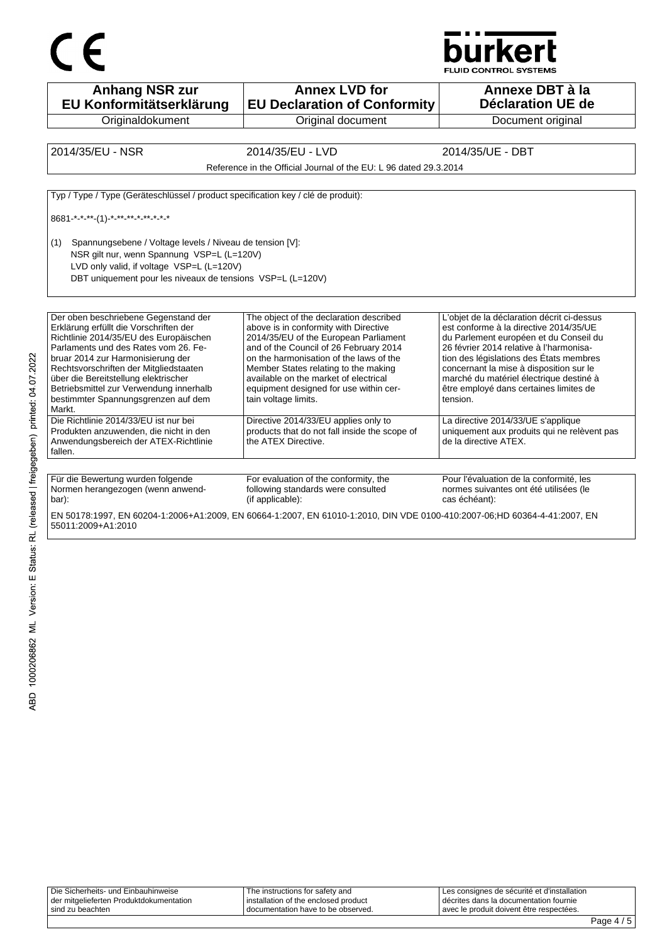

**Anhang NSR zur EU Konformitätserklärung Originaldokument Annex LVD for EU Declaration of Conformity** Original document **Annexe DBT à la Déclaration UE de**  Document original 2014/35/EU - NSR 2014/35/EU - LVD 2014/35/UE - DBT Reference in the Official Journal of the EU: L 96 dated 29.3.2014 Typ / Type / Type (Geräteschlüssel / product specification key / clé de produit): 8681-\*-\*-\*\*-(1)-\*-\*\*-\*\*-\*-\*\*-\*-\*-\* (1) Spannungsebene / Voltage levels / Niveau de tension [V]: NSR gilt nur, wenn Spannung VSP=L (L=120V) LVD only valid, if voltage VSP=L (L=120V) DBT uniquement pour les niveaux de tensions VSP=L (L=120V) Der oben beschriebene Gegenstand der Erklärung erfüllt die Vorschriften der Richtlinie 2014/35/EU des Europäischen Parlaments und des Rates vom 26. Februar 2014 zur Harmonisierung der Rechtsvorschriften der Mitgliedstaaten über die Bereitstellung elektrischer Betriebsmittel zur Verwendung innerhalb bestimmter Spannungsgrenzen auf dem Markt. The object of the declaration described above is in conformity with Directive 2014/35/EU of the European Parliament and of the Council of 26 February 2014 on the harmonisation of the laws of the Member States relating to the making available on the market of electrical equipment designed for use within certain voltage limits. L'objet de la déclaration décrit ci-dessus est conforme à la directive 2014/35/UE du Parlement européen et du Conseil du 26 février 2014 relative à l'harmonisation des législations des États membres concernant la mise à disposition sur le marché du matériel électrique destiné à être employé dans certaines limites de tension. Die Richtlinie 2014/33/EU ist nur bei Produkten anzuwenden, die nicht in den Anwendungsbereich der ATEX-Richtlinie fallen. Directive 2014/33/EU applies only to products that do not fall inside the scope of .<br>the ATEX Directive. La directive 2014/33/UE s'applique uniquement aux produits qui ne relèvent pas de la directive ATEX. Für die Bewertung wurden folgende Normen herangezogen (wenn anwendbar): For evaluation of the conformity, the following standards were consulted (if applicable): Pour l'évaluation de la conformité, les normes suivantes ont été utilisées (le cas échéant): EN 50178:1997, EN 60204-1:2006+A1:2009, EN 60664-1:2007, EN 61010-1:2010, DIN VDE 0100-410:2007-06;HD 60364-4-41:2007, EN 55011:2009+A1:2010

| Die Sicherheits- und Einbauhinweise     | The instructions for safety and      | Les consignes de sécurité et d'installation |
|-----------------------------------------|--------------------------------------|---------------------------------------------|
| der mitgelieferten Produktdokumentation | installation of the enclosed product | I décrites dans la documentation fournie    |
| sind zu beachten                        | I documentation have to be observed. | avec le produit doivent être respectées.    |
|                                         |                                      |                                             |